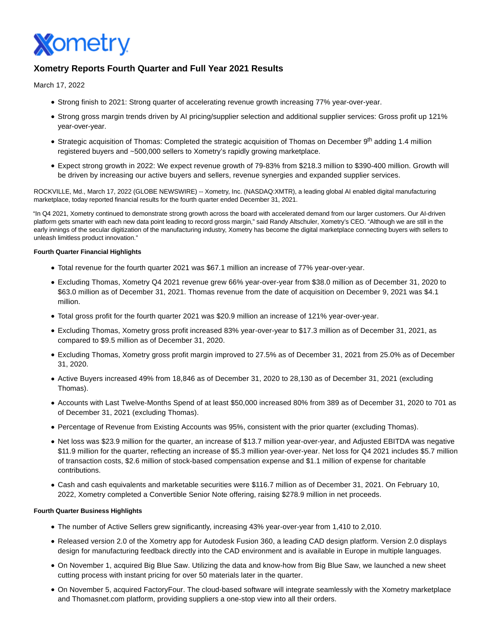

# **Xometry Reports Fourth Quarter and Full Year 2021 Results**

March 17, 2022

- Strong finish to 2021: Strong quarter of accelerating revenue growth increasing 77% year-over-year.
- Strong gross margin trends driven by AI pricing/supplier selection and additional supplier services: Gross profit up 121% year-over-year.
- Strategic acquisition of Thomas: Completed the strategic acquisition of Thomas on December 9th adding 1.4 million registered buyers and ~500,000 sellers to Xometry's rapidly growing marketplace.
- Expect strong growth in 2022: We expect revenue growth of 79-83% from \$218.3 million to \$390-400 million. Growth will be driven by increasing our active buyers and sellers, revenue synergies and expanded supplier services.

ROCKVILLE, Md., March 17, 2022 (GLOBE NEWSWIRE) -- Xometry, Inc. (NASDAQ:XMTR), a leading global AI enabled digital manufacturing marketplace, today reported financial results for the fourth quarter ended December 31, 2021.

"In Q4 2021, Xometry continued to demonstrate strong growth across the board with accelerated demand from our larger customers. Our AI-driven platform gets smarter with each new data point leading to record gross margin," said Randy Altschuler, Xometry's CEO. "Although we are still in the early innings of the secular digitization of the manufacturing industry, Xometry has become the digital marketplace connecting buyers with sellers to unleash limitless product innovation."

# **Fourth Quarter Financial Highlights**

- Total revenue for the fourth quarter 2021 was \$67.1 million an increase of 77% year-over-year.
- Excluding Thomas, Xometry Q4 2021 revenue grew 66% year-over-year from \$38.0 million as of December 31, 2020 to \$63.0 million as of December 31, 2021. Thomas revenue from the date of acquisition on December 9, 2021 was \$4.1 million.
- Total gross profit for the fourth quarter 2021 was \$20.9 million an increase of 121% year-over-year.
- Excluding Thomas, Xometry gross profit increased 83% year-over-year to \$17.3 million as of December 31, 2021, as compared to \$9.5 million as of December 31, 2020.
- Excluding Thomas, Xometry gross profit margin improved to 27.5% as of December 31, 2021 from 25.0% as of December 31, 2020.
- Active Buyers increased 49% from 18,846 as of December 31, 2020 to 28,130 as of December 31, 2021 (excluding Thomas).
- Accounts with Last Twelve-Months Spend of at least \$50,000 increased 80% from 389 as of December 31, 2020 to 701 as of December 31, 2021 (excluding Thomas).
- Percentage of Revenue from Existing Accounts was 95%, consistent with the prior quarter (excluding Thomas).
- Net loss was \$23.9 million for the quarter, an increase of \$13.7 million year-over-year, and Adjusted EBITDA was negative \$11.9 million for the quarter, reflecting an increase of \$5.3 million year-over-year. Net loss for Q4 2021 includes \$5.7 million of transaction costs, \$2.6 million of stock-based compensation expense and \$1.1 million of expense for charitable contributions.
- Cash and cash equivalents and marketable securities were \$116.7 million as of December 31, 2021. On February 10, 2022, Xometry completed a Convertible Senior Note offering, raising \$278.9 million in net proceeds.

# **Fourth Quarter Business Highlights**

- The number of Active Sellers grew significantly, increasing 43% year-over-year from 1,410 to 2,010.
- Released version 2.0 of the Xometry app for Autodesk Fusion 360, a leading CAD design platform. Version 2.0 displays design for manufacturing feedback directly into the CAD environment and is available in Europe in multiple languages.
- On November 1, acquired Big Blue Saw. Utilizing the data and know-how from Big Blue Saw, we launched a new sheet cutting process with instant pricing for over 50 materials later in the quarter.
- On November 5, acquired FactoryFour. The cloud-based software will integrate seamlessly with the Xometry marketplace and Thomasnet.com platform, providing suppliers a one-stop view into all their orders.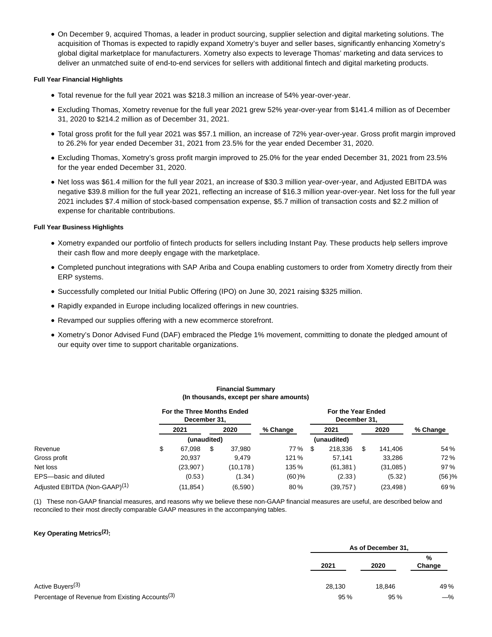On December 9, acquired Thomas, a leader in product sourcing, supplier selection and digital marketing solutions. The acquisition of Thomas is expected to rapidly expand Xometry's buyer and seller bases, significantly enhancing Xometry's global digital marketplace for manufacturers. Xometry also expects to leverage Thomas' marketing and data services to deliver an unmatched suite of end-to-end services for sellers with additional fintech and digital marketing products.

# **Full Year Financial Highlights**

- Total revenue for the full year 2021 was \$218.3 million an increase of 54% year-over-year.
- Excluding Thomas, Xometry revenue for the full year 2021 grew 52% year-over-year from \$141.4 million as of December 31, 2020 to \$214.2 million as of December 31, 2021.
- Total gross profit for the full year 2021 was \$57.1 million, an increase of 72% year-over-year. Gross profit margin improved to 26.2% for year ended December 31, 2021 from 23.5% for the year ended December 31, 2020.
- Excluding Thomas, Xometry's gross profit margin improved to 25.0% for the year ended December 31, 2021 from 23.5% for the year ended December 31, 2020.
- Net loss was \$61.4 million for the full year 2021, an increase of \$30.3 million year-over-year, and Adjusted EBITDA was negative \$39.8 million for the full year 2021, reflecting an increase of \$16.3 million year-over-year. Net loss for the full year 2021 includes \$7.4 million of stock-based compensation expense, \$5.7 million of transaction costs and \$2.2 million of expense for charitable contributions.

# **Full Year Business Highlights**

- Xometry expanded our portfolio of fintech products for sellers including Instant Pay. These products help sellers improve their cash flow and more deeply engage with the marketplace.
- Completed punchout integrations with SAP Ariba and Coupa enabling customers to order from Xometry directly from their ERP systems.
- Successfully completed our Initial Public Offering (IPO) on June 30, 2021 raising \$325 million.
- Rapidly expanded in Europe including localized offerings in new countries.
- Revamped our supplies offering with a new ecommerce storefront.
- Xometry's Donor Advised Fund (DAF) embraced the Pledge 1% movement, committing to donate the pledged amount of our equity over time to support charitable organizations.

|                                           | For the Three Months Ended<br>December 31, |   |          |          | For the Year Ended<br>December 31, |      |           |          |
|-------------------------------------------|--------------------------------------------|---|----------|----------|------------------------------------|------|-----------|----------|
|                                           | 2021                                       |   | 2020     | % Change | 2021                               | 2020 |           | % Change |
|                                           | (unaudited)                                |   |          |          | (unaudited)                        |      |           |          |
| Revenue                                   | \$<br>67,098                               | S | 37.980   | 77%      | 218.336                            | S    | 141.406   | 54%      |
| Gross profit                              | 20,937                                     |   | 9.479    | 121%     | 57.141                             |      | 33.286    | 72%      |
| Net loss                                  | (23,907)                                   |   | (10,178) | 135%     | (61, 381)                          |      | (31,085)  | 97%      |
| EPS-basic and diluted                     | (0.53)                                     |   | (1.34)   | $(60)$ % | (2.33)                             |      | (5.32)    | $(56)$ % |
| Adjusted EBITDA (Non-GAAP) <sup>(1)</sup> | (11,854)                                   |   | (6,590)  | 80%      | (39.757)                           |      | (23, 498) | 69%      |

**Financial Summary (In thousands, except per share amounts)**

(1) These non-GAAP financial measures, and reasons why we believe these non-GAAP financial measures are useful, are described below and reconciled to their most directly comparable GAAP measures in the accompanying tables.

# **Key Operating Metrics(2):**

|                                                             |        | As of December 31, |             |  |  |  |
|-------------------------------------------------------------|--------|--------------------|-------------|--|--|--|
|                                                             | 2021   | 2020               | %<br>Change |  |  |  |
| Active Buyers <sup>(3)</sup>                                | 28,130 | 18.846             | 49%         |  |  |  |
| Percentage of Revenue from Existing Accounts <sup>(3)</sup> | 95%    | 95%                | $-$ %       |  |  |  |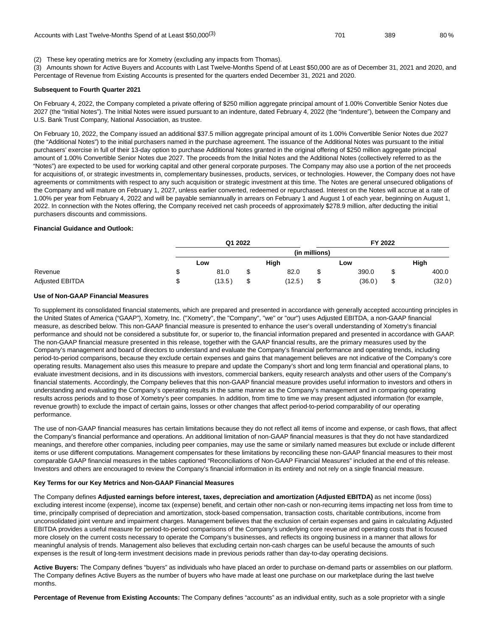(2) These key operating metrics are for Xometry (excluding any impacts from Thomas).

(3) Amounts shown for Active Buyers and Accounts with Last Twelve-Months Spend of at Least \$50,000 are as of December 31, 2021 and 2020, and Percentage of Revenue from Existing Accounts is presented for the quarters ended December 31, 2021 and 2020.

#### **Subsequent to Fourth Quarter 2021**

On February 4, 2022, the Company completed a private offering of \$250 million aggregate principal amount of 1.00% Convertible Senior Notes due 2027 (the "Initial Notes"). The Initial Notes were issued pursuant to an indenture, dated February 4, 2022 (the "Indenture"), between the Company and U.S. Bank Trust Company, National Association, as trustee.

On February 10, 2022, the Company issued an additional \$37.5 million aggregate principal amount of its 1.00% Convertible Senior Notes due 2027 (the "Additional Notes") to the initial purchasers named in the purchase agreement. The issuance of the Additional Notes was pursuant to the initial purchasers' exercise in full of their 13-day option to purchase Additional Notes granted in the original offering of \$250 million aggregate principal amount of 1.00% Convertible Senior Notes due 2027. The proceeds from the Initial Notes and the Additional Notes (collectively referred to as the "Notes") are expected to be used for working capital and other general corporate purposes. The Company may also use a portion of the net proceeds for acquisitions of, or strategic investments in, complementary businesses, products, services, or technologies. However, the Company does not have agreements or commitments with respect to any such acquisition or strategic investment at this time. The Notes are general unsecured obligations of the Company and will mature on February 1, 2027, unless earlier converted, redeemed or repurchased. Interest on the Notes will accrue at a rate of 1.00% per year from February 4, 2022 and will be payable semiannually in arrears on February 1 and August 1 of each year, beginning on August 1, 2022. In connection with the Notes offering, the Company received net cash proceeds of approximately \$278.9 million, after deducting the initial purchasers discounts and commissions.

#### **Financial Guidance and Outlook:**

|                        |        | Q1 2022 |   |        |          |        | FY 2022 |        |  |  |  |  |
|------------------------|--------|---------|---|--------|----------|--------|---------|--------|--|--|--|--|
|                        |        |         |   |        |          |        |         |        |  |  |  |  |
|                        |        | Low     |   | High   |          | Low    |         | High   |  |  |  |  |
| Revenue                | ۰D     | 81.0    |   | 82.0   |          | 390.0  | ́<br>Jэ | 400.0  |  |  |  |  |
| <b>Adjusted EBITDA</b> | ᠬ<br>◡ | (13.5)  | S | (12.5) | <b>D</b> | (36.0) | ́<br>J  | (32.0) |  |  |  |  |

# **Use of Non-GAAP Financial Measures**

To supplement its consolidated financial statements, which are prepared and presented in accordance with generally accepted accounting principles in the United States of America ("GAAP"), Xometry, Inc. ("Xometry", the "Company", "we" or "our") uses Adjusted EBITDA, a non-GAAP financial measure, as described below. This non-GAAP financial measure is presented to enhance the user's overall understanding of Xometry's financial performance and should not be considered a substitute for, or superior to, the financial information prepared and presented in accordance with GAAP. The non-GAAP financial measure presented in this release, together with the GAAP financial results, are the primary measures used by the Company's management and board of directors to understand and evaluate the Company's financial performance and operating trends, including period-to-period comparisons, because they exclude certain expenses and gains that management believes are not indicative of the Company's core operating results. Management also uses this measure to prepare and update the Company's short and long term financial and operational plans, to evaluate investment decisions, and in its discussions with investors, commercial bankers, equity research analysts and other users of the Company's financial statements. Accordingly, the Company believes that this non-GAAP financial measure provides useful information to investors and others in understanding and evaluating the Company's operating results in the same manner as the Company's management and in comparing operating results across periods and to those of Xometry's peer companies. In addition, from time to time we may present adjusted information (for example, revenue growth) to exclude the impact of certain gains, losses or other changes that affect period-to-period comparability of our operating performance.

The use of non-GAAP financial measures has certain limitations because they do not reflect all items of income and expense, or cash flows, that affect the Company's financial performance and operations. An additional limitation of non-GAAP financial measures is that they do not have standardized meanings, and therefore other companies, including peer companies, may use the same or similarly named measures but exclude or include different items or use different computations. Management compensates for these limitations by reconciling these non-GAAP financial measures to their most comparable GAAP financial measures in the tables captioned "Reconciliations of Non-GAAP Financial Measures" included at the end of this release. Investors and others are encouraged to review the Company's financial information in its entirety and not rely on a single financial measure.

#### **Key Terms for our Key Metrics and Non-GAAP Financial Measures**

The Company defines **Adjusted earnings before interest, taxes, depreciation and amortization (Adjusted EBITDA)** as net income (loss) excluding interest income (expense), income tax (expense) benefit, and certain other non-cash or non-recurring items impacting net loss from time to time, principally comprised of depreciation and amortization, stock-based compensation, transaction costs, charitable contributions, income from unconsolidated joint venture and impairment charges. Management believes that the exclusion of certain expenses and gains in calculating Adjusted EBITDA provides a useful measure for period-to-period comparisons of the Company's underlying core revenue and operating costs that is focused more closely on the current costs necessary to operate the Company's businesses, and reflects its ongoing business in a manner that allows for meaningful analysis of trends. Management also believes that excluding certain non-cash charges can be useful because the amounts of such expenses is the result of long-term investment decisions made in previous periods rather than day-to-day operating decisions.

**Active Buyers:** The Company defines "buyers" as individuals who have placed an order to purchase on-demand parts or assemblies on our platform. The Company defines Active Buyers as the number of buyers who have made at least one purchase on our marketplace during the last twelve months.

Percentage of Revenue from Existing Accounts: The Company defines "accounts" as an individual entity, such as a sole proprietor with a single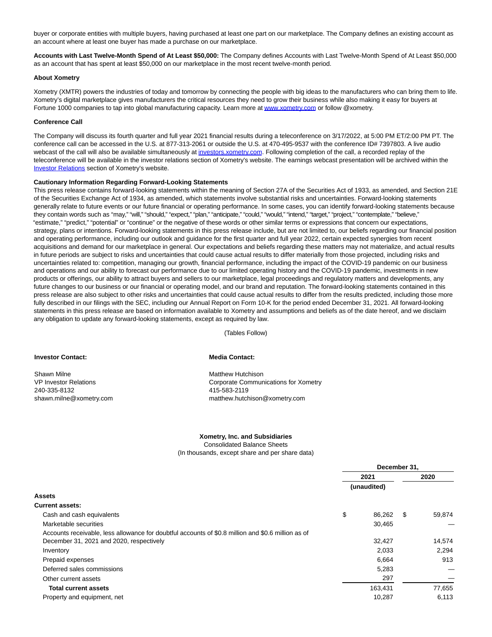buyer or corporate entities with multiple buyers, having purchased at least one part on our marketplace. The Company defines an existing account as an account where at least one buyer has made a purchase on our marketplace.

**Accounts with Last Twelve-Month Spend of At Least \$50,000:** The Company defines Accounts with Last Twelve-Month Spend of At Least \$50,000 as an account that has spent at least \$50,000 on our marketplace in the most recent twelve-month period.

#### **About Xometry**

Xometry (XMTR) powers the industries of today and tomorrow by connecting the people with big ideas to the manufacturers who can bring them to life. Xometry's digital marketplace gives manufacturers the critical resources they need to grow their business while also making it easy for buyers at Fortune 1000 companies to tap into global manufacturing capacity. Learn more a[t www.xometry.com o](https://www.globenewswire.com/Tracker?data=9-KiT0xlGubUxc8AzgoLf7_d24hddbg8EfS_SjpYkOY16kRF91HhwRYh4tFAYd_2bP38ylB5qVkcMoUvk_-gFQ==)r follow @xometry.

### **Conference Call**

The Company will discuss its fourth quarter and full year 2021 financial results during a teleconference on 3/17/2022, at 5:00 PM ET/2:00 PM PT. The conference call can be accessed in the U.S. at 877-313-2061 or outside the U.S. at 470-495-9537 with the conference ID# 7397803. A live audio webcast of the call will also be available simultaneously a[t investors.xometry.com.](https://www.globenewswire.com/Tracker?data=94ESpSDL0CYS85XtCXRuplQiegnS--NQlrGhiK9kLAElRfQ77aJ6MK2K67seB3cLKlX3XiVSZliI56RJzCzBYKy30VedrmWmwryDYyWfNSQ=) Following completion of the call, a recorded replay of the teleconference will be available in the investor relations section of Xometry's website. The earnings webcast presentation will be archived within the [Investor Relations s](https://www.globenewswire.com/Tracker?data=c7fb_iJCggT0OkM76_eIEKIUrGX5o0bEISCEUWReCmpW9B9xD5FLk81W-9o4zcI3huE5Bhx_VTOdta8tnWqSducFda877G9jHxMO_E4fhEE=)ection of Xometry's website.

#### **Cautionary Information Regarding Forward-Looking Statements**

This press release contains forward-looking statements within the meaning of Section 27A of the Securities Act of 1933, as amended, and Section 21E of the Securities Exchange Act of 1934, as amended, which statements involve substantial risks and uncertainties. Forward-looking statements generally relate to future events or our future financial or operating performance. In some cases, you can identify forward-looking statements because they contain words such as "may," "will," "should," "expect," "plan," "anticipate," "could," "would," "intend," "target," "project," "contemplate," "believe," "estimate," "predict," "potential" or "continue" or the negative of these words or other similar terms or expressions that concern our expectations, strategy, plans or intentions. Forward-looking statements in this press release include, but are not limited to, our beliefs regarding our financial position and operating performance, including our outlook and guidance for the first quarter and full year 2022, certain expected synergies from recent acquisitions and demand for our marketplace in general. Our expectations and beliefs regarding these matters may not materialize, and actual results in future periods are subject to risks and uncertainties that could cause actual results to differ materially from those projected, including risks and uncertainties related to: competition, managing our growth, financial performance, including the impact of the COVID-19 pandemic on our business and operations and our ability to forecast our performance due to our limited operating history and the COVID-19 pandemic, investments in new products or offerings, our ability to attract buyers and sellers to our marketplace, legal proceedings and regulatory matters and developments, any future changes to our business or our financial or operating model, and our brand and reputation. The forward-looking statements contained in this press release are also subject to other risks and uncertainties that could cause actual results to differ from the results predicted, including those more fully described in our filings with the SEC, including our Annual Report on Form 10-K for the period ended December 31, 2021. All forward-looking statements in this press release are based on information available to Xometry and assumptions and beliefs as of the date hereof, and we disclaim any obligation to update any forward-looking statements, except as required by law.

(Tables Follow)

# **Investor Contact: Media Contact: Media Contact:**

Shawn Milne VP Investor Relations 240-335-8132 shawn.milne@xometry.com

Matthew Hutchison Corporate Communications for Xometry 415-583-2119 matthew.hutchison@xometry.com

# **Xometry, Inc. and Subsidiaries**

Consolidated Balance Sheets

(In thousands, except share and per share data)

|                                                                                                    | December 31. |             |      |        |  |  |  |
|----------------------------------------------------------------------------------------------------|--------------|-------------|------|--------|--|--|--|
|                                                                                                    |              | 2021        |      | 2020   |  |  |  |
|                                                                                                    |              | (unaudited) |      |        |  |  |  |
| <b>Assets</b>                                                                                      |              |             |      |        |  |  |  |
| <b>Current assets:</b>                                                                             |              |             |      |        |  |  |  |
| Cash and cash equivalents                                                                          | \$           | 86,262      | - \$ | 59,874 |  |  |  |
| Marketable securities                                                                              |              | 30,465      |      |        |  |  |  |
| Accounts receivable, less allowance for doubtful accounts of \$0.8 million and \$0.6 million as of |              |             |      |        |  |  |  |
| December 31, 2021 and 2020, respectively                                                           |              | 32,427      |      | 14,574 |  |  |  |
| Inventory                                                                                          |              | 2,033       |      | 2,294  |  |  |  |
| Prepaid expenses                                                                                   |              | 6,664       |      | 913    |  |  |  |
| Deferred sales commissions                                                                         |              | 5,283       |      |        |  |  |  |
| Other current assets                                                                               |              | 297         |      |        |  |  |  |
| <b>Total current assets</b>                                                                        |              | 163,431     |      | 77,655 |  |  |  |
| Property and equipment, net                                                                        |              | 10,287      |      | 6,113  |  |  |  |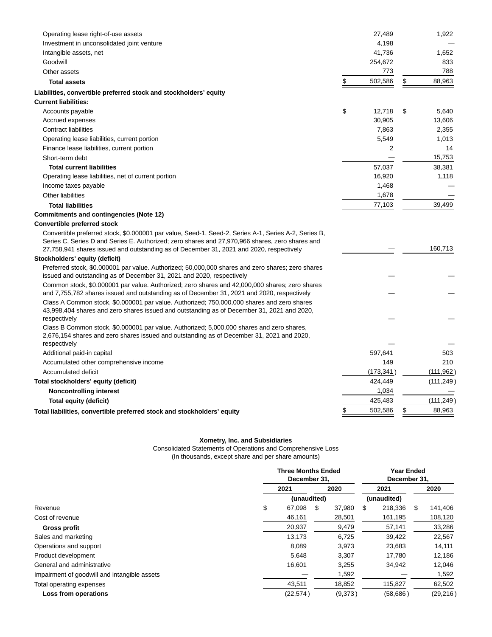| Operating lease right-of-use assets                                                                                                                                                                                                                                                                | 27,489        | 1,922        |
|----------------------------------------------------------------------------------------------------------------------------------------------------------------------------------------------------------------------------------------------------------------------------------------------------|---------------|--------------|
| Investment in unconsolidated joint venture                                                                                                                                                                                                                                                         | 4,198         |              |
| Intangible assets, net                                                                                                                                                                                                                                                                             | 41,736        | 1,652        |
| Goodwill                                                                                                                                                                                                                                                                                           | 254,672       | 833          |
| Other assets                                                                                                                                                                                                                                                                                       | 773           | 788          |
| <b>Total assets</b>                                                                                                                                                                                                                                                                                | \$<br>502,586 | \$<br>88,963 |
| Liabilities, convertible preferred stock and stockholders' equity                                                                                                                                                                                                                                  |               |              |
| <b>Current liabilities:</b>                                                                                                                                                                                                                                                                        |               |              |
| Accounts payable                                                                                                                                                                                                                                                                                   | \$<br>12,718  | \$<br>5,640  |
| Accrued expenses                                                                                                                                                                                                                                                                                   | 30,905        | 13,606       |
| <b>Contract liabilities</b>                                                                                                                                                                                                                                                                        | 7,863         | 2,355        |
| Operating lease liabilities, current portion                                                                                                                                                                                                                                                       | 5,549         | 1,013        |
| Finance lease liabilities, current portion                                                                                                                                                                                                                                                         | 2             | 14           |
| Short-term debt                                                                                                                                                                                                                                                                                    |               | 15,753       |
| <b>Total current liabilities</b>                                                                                                                                                                                                                                                                   | 57,037        | 38,381       |
| Operating lease liabilities, net of current portion                                                                                                                                                                                                                                                | 16,920        | 1,118        |
| Income taxes payable                                                                                                                                                                                                                                                                               | 1,468         |              |
| Other liabilities                                                                                                                                                                                                                                                                                  | 1,678         |              |
| <b>Total liabilities</b>                                                                                                                                                                                                                                                                           | 77,103        | 39,499       |
| <b>Commitments and contingencies (Note 12)</b>                                                                                                                                                                                                                                                     |               |              |
| <b>Convertible preferred stock</b>                                                                                                                                                                                                                                                                 |               |              |
| Convertible preferred stock, \$0.000001 par value, Seed-1, Seed-2, Series A-1, Series A-2, Series B,<br>Series C, Series D and Series E. Authorized; zero shares and 27,970,966 shares, zero shares and<br>27,758,941 shares issued and outstanding as of December 31, 2021 and 2020, respectively |               | 160,713      |
| Stockholders' equity (deficit)                                                                                                                                                                                                                                                                     |               |              |
| Preferred stock, \$0.000001 par value. Authorized; 50,000,000 shares and zero shares; zero shares                                                                                                                                                                                                  |               |              |
| issued and outstanding as of December 31, 2021 and 2020, respectively                                                                                                                                                                                                                              |               |              |
| Common stock, \$0.000001 par value. Authorized; zero shares and 42,000,000 shares; zero shares                                                                                                                                                                                                     |               |              |
| and 7,755,782 shares issued and outstanding as of December 31, 2021 and 2020, respectively                                                                                                                                                                                                         |               |              |
| Class A Common stock, \$0.000001 par value. Authorized; 750,000,000 shares and zero shares                                                                                                                                                                                                         |               |              |
| 43,998,404 shares and zero shares issued and outstanding as of December 31, 2021 and 2020,                                                                                                                                                                                                         |               |              |
| respectively                                                                                                                                                                                                                                                                                       |               |              |
| Class B Common stock, \$0.000001 par value. Authorized; 5,000,000 shares and zero shares,<br>2,676,154 shares and zero shares issued and outstanding as of December 31, 2021 and 2020,                                                                                                             |               |              |
| respectively                                                                                                                                                                                                                                                                                       |               |              |
| Additional paid-in capital                                                                                                                                                                                                                                                                         | 597,641       | 503          |
| Accumulated other comprehensive income                                                                                                                                                                                                                                                             | 149           | 210          |
| Accumulated deficit                                                                                                                                                                                                                                                                                | (173,341      | (111, 962)   |
| Total stockholders' equity (deficit)                                                                                                                                                                                                                                                               | 424,449       | (111, 249)   |
| <b>Noncontrolling interest</b>                                                                                                                                                                                                                                                                     | 1,034         |              |
| Total equity (deficit)                                                                                                                                                                                                                                                                             | 425,483       | (111, 249)   |
| Total liabilities, convertible preferred stock and stockholders' equity                                                                                                                                                                                                                            | \$<br>502,586 | \$<br>88,963 |
|                                                                                                                                                                                                                                                                                                    |               |              |

#### **Xometry, Inc. and Subsidiaries**

Consolidated Statements of Operations and Comprehensive Loss (In thousands, except share and per share amounts)

|                                              | <b>Three Months Ended</b><br>December 31. |             |   |         | <b>Year Ended</b><br>December 31, |             |     |           |  |
|----------------------------------------------|-------------------------------------------|-------------|---|---------|-----------------------------------|-------------|-----|-----------|--|
|                                              |                                           | 2021        |   | 2020    | 2021                              |             |     | 2020      |  |
|                                              |                                           | (unaudited) |   |         |                                   | (unaudited) |     |           |  |
| Revenue                                      | \$                                        | 67,098      | S | 37,980  | S                                 | 218,336     | \$. | 141,406   |  |
| Cost of revenue                              |                                           | 46,161      |   | 28,501  |                                   | 161,195     |     | 108,120   |  |
| <b>Gross profit</b>                          |                                           | 20,937      |   | 9,479   |                                   | 57,141      |     | 33,286    |  |
| Sales and marketing                          |                                           | 13.173      |   | 6,725   |                                   | 39,422      |     | 22,567    |  |
| Operations and support                       |                                           | 8,089       |   | 3,973   |                                   | 23,683      |     | 14,111    |  |
| Product development                          |                                           | 5.648       |   | 3,307   |                                   | 17.780      |     | 12,186    |  |
| General and administrative                   |                                           | 16,601      |   | 3,255   |                                   | 34,942      |     | 12,046    |  |
| Impairment of goodwill and intangible assets |                                           |             |   | 1,592   |                                   |             |     | 1,592     |  |
| Total operating expenses                     |                                           | 43,511      |   | 18,852  |                                   | 115,827     |     | 62,502    |  |
| Loss from operations                         |                                           | (22, 574)   |   | (9,373) |                                   | (58,686)    |     | (29, 216) |  |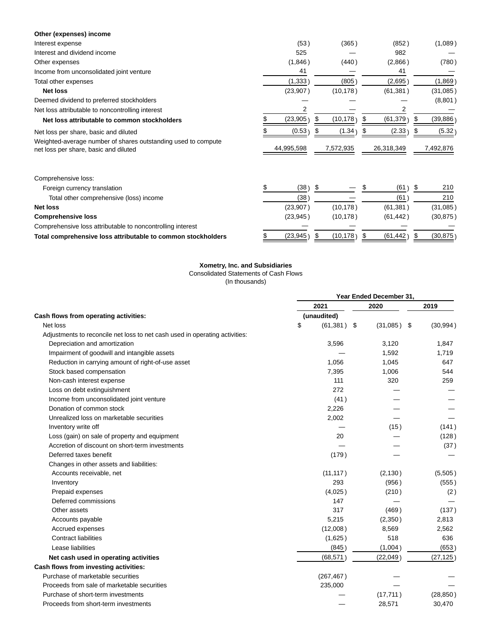| Other (expenses) income                                                                                |   |                |           |    |            |     |           |
|--------------------------------------------------------------------------------------------------------|---|----------------|-----------|----|------------|-----|-----------|
| Interest expense                                                                                       |   | (53)           | (365)     |    | (852)      |     | (1,089)   |
| Interest and dividend income                                                                           |   | 525            |           |    | 982        |     |           |
| Other expenses                                                                                         |   | (1,846)        | (440)     |    | (2,866)    |     | (780)     |
| Income from unconsolidated joint venture                                                               |   | 41             |           |    | 41         |     |           |
| Total other expenses                                                                                   |   | (1, 333)       | (805)     |    | (2,695)    |     | (1,869)   |
| <b>Net loss</b>                                                                                        |   | (23,907)       | (10, 178) |    | (61, 381)  |     | (31,085)  |
| Deemed dividend to preferred stockholders                                                              |   |                |           |    |            |     | (8,801)   |
| Net loss attributable to noncontrolling interest                                                       |   |                |           |    |            |     |           |
| Net loss attributable to common stockholders                                                           |   | (23,905)       | (10, 178) |    | (61, 379)  |     | (39,886)  |
| Net loss per share, basic and diluted                                                                  |   | (0.53)         | (1.34)    |    | (2.33)     |     | (5.32)    |
| Weighted-average number of shares outstanding used to compute<br>net loss per share, basic and diluted |   | 44,995,598     | 7,572,935 |    | 26,318,349 |     | 7,492,876 |
| Comprehensive loss:                                                                                    |   |                |           |    |            |     |           |
| Foreign currency translation                                                                           | S | (38)<br>-S     |           | S  | (61)       | - 5 | 210       |
| Total other comprehensive (loss) income                                                                |   | (38)           |           |    | (61)       |     | 210       |
| <b>Net loss</b>                                                                                        |   | (23,907)       | (10, 178) |    | (61, 381)  |     | (31,085)  |
| <b>Comprehensive loss</b>                                                                              |   | (23, 945)      | (10, 178) |    | (61, 442)  |     | (30, 875) |
| Comprehensive loss attributable to noncontrolling interest                                             |   |                |           |    |            |     |           |
| Total comprehensive loss attributable to common stockholders                                           |   | (23, 945)<br>S | (10, 178) | \$ | (61, 442)  | £.  | (30, 875) |

#### **Xometry, Inc. and Subsidiaries**

Consolidated Statements of Cash Flows

(In thousands)

|                                                                             | Year Ended December 31, |             |      |           |    |           |  |  |
|-----------------------------------------------------------------------------|-------------------------|-------------|------|-----------|----|-----------|--|--|
|                                                                             |                         | 2021        | 2020 |           |    | 2019      |  |  |
| Cash flows from operating activities:                                       |                         | (unaudited) |      |           |    |           |  |  |
| Net loss                                                                    | \$                      | (61, 381)   | -\$  | (31,085)  | \$ | (30, 994) |  |  |
| Adjustments to reconcile net loss to net cash used in operating activities: |                         |             |      |           |    |           |  |  |
| Depreciation and amortization                                               |                         | 3,596       |      | 3,120     |    | 1,847     |  |  |
| Impairment of goodwill and intangible assets                                |                         |             |      | 1,592     |    | 1,719     |  |  |
| Reduction in carrying amount of right-of-use asset                          |                         | 1,056       |      | 1,045     |    | 647       |  |  |
| Stock based compensation                                                    |                         | 7,395       |      | 1,006     |    | 544       |  |  |
| Non-cash interest expense                                                   |                         | 111         |      | 320       |    | 259       |  |  |
| Loss on debt extinguishment                                                 |                         | 272         |      |           |    |           |  |  |
| Income from unconsolidated joint venture                                    |                         | (41)        |      |           |    |           |  |  |
| Donation of common stock                                                    |                         | 2,226       |      |           |    |           |  |  |
| Unrealized loss on marketable securities                                    |                         | 2,002       |      |           |    |           |  |  |
| Inventory write off                                                         |                         |             |      | (15)      |    | (141)     |  |  |
| Loss (gain) on sale of property and equipment                               |                         | 20          |      |           |    | (128)     |  |  |
| Accretion of discount on short-term investments                             |                         |             |      |           |    | (37)      |  |  |
| Deferred taxes benefit                                                      |                         | (179)       |      |           |    |           |  |  |
| Changes in other assets and liabilities:                                    |                         |             |      |           |    |           |  |  |
| Accounts receivable, net                                                    |                         | (11, 117)   |      | (2, 130)  |    | (5,505)   |  |  |
| Inventory                                                                   |                         | 293         |      | (956)     |    | (555)     |  |  |
| Prepaid expenses                                                            |                         | (4,025)     |      | (210)     |    | (2)       |  |  |
| Deferred commissions                                                        |                         | 147         |      |           |    |           |  |  |
| Other assets                                                                |                         | 317         |      | (469)     |    | (137)     |  |  |
| Accounts payable                                                            |                         | 5,215       |      | (2,350)   |    | 2,813     |  |  |
| Accrued expenses                                                            |                         | (12,008)    |      | 8,569     |    | 2,562     |  |  |
| <b>Contract liabilities</b>                                                 |                         | (1,625)     |      | 518       |    | 636       |  |  |
| Lease liabilities                                                           |                         | (845)       |      | (1,004)   |    | (653)     |  |  |
| Net cash used in operating activities                                       |                         | (68, 571)   |      | (22,049)  |    | (27, 125) |  |  |
| Cash flows from investing activities:                                       |                         |             |      |           |    |           |  |  |
| Purchase of marketable securities                                           |                         | (267, 467)  |      |           |    |           |  |  |
| Proceeds from sale of marketable securities                                 |                         | 235,000     |      |           |    |           |  |  |
| Purchase of short-term investments                                          |                         |             |      | (17, 711) |    | (28, 850) |  |  |
| Proceeds from short-term investments                                        |                         |             |      | 28,571    |    | 30,470    |  |  |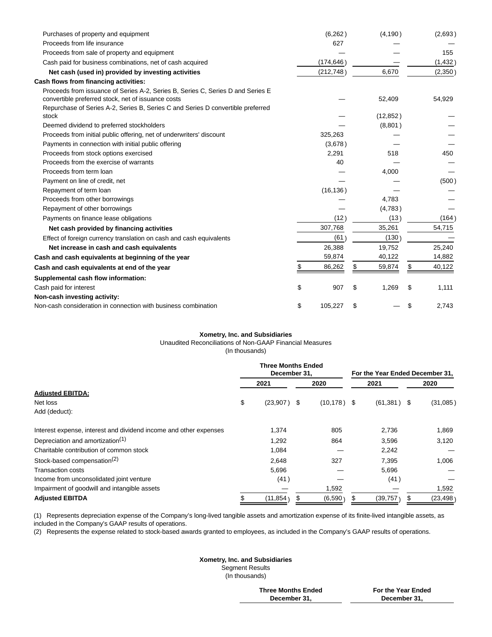| Purchases of property and equipment                                                                                                   | (6, 262)      |    | (4, 190)  | (2,693)      |
|---------------------------------------------------------------------------------------------------------------------------------------|---------------|----|-----------|--------------|
| Proceeds from life insurance                                                                                                          | 627           |    |           |              |
| Proceeds from sale of property and equipment                                                                                          |               |    |           | 155          |
| Cash paid for business combinations, net of cash acquired                                                                             | (174, 646)    |    |           | (1, 432)     |
| Net cash (used in) provided by investing activities                                                                                   | (212, 748)    |    | 6,670     | (2,350)      |
| Cash flows from financing activities:                                                                                                 |               |    |           |              |
| Proceeds from issuance of Series A-2, Series B, Series C, Series D and Series E<br>convertible preferred stock, net of issuance costs |               |    | 52,409    | 54,929       |
| Repurchase of Series A-2, Series B, Series C and Series D convertible preferred                                                       |               |    |           |              |
| stock                                                                                                                                 |               |    | (12, 852) |              |
| Deemed dividend to preferred stockholders                                                                                             |               |    | (8,801)   |              |
| Proceeds from initial public offering, net of underwriters' discount                                                                  | 325,263       |    |           |              |
| Payments in connection with initial public offering                                                                                   | (3,678)       |    |           |              |
| Proceeds from stock options exercised                                                                                                 | 2,291         |    | 518       | 450          |
| Proceeds from the exercise of warrants                                                                                                | 40            |    |           |              |
| Proceeds from term loan                                                                                                               |               |    | 4,000     |              |
| Payment on line of credit, net                                                                                                        |               |    |           | (500)        |
| Repayment of term loan                                                                                                                | (16, 136)     |    |           |              |
| Proceeds from other borrowings                                                                                                        |               |    | 4,783     |              |
| Repayment of other borrowings                                                                                                         |               |    | (4,783)   |              |
| Payments on finance lease obligations                                                                                                 | (12)          |    | (13)      | (164)        |
| Net cash provided by financing activities                                                                                             | 307,768       |    | 35,261    | 54,715       |
| Effect of foreign currency translation on cash and cash equivalents                                                                   | (61           |    | (130)     |              |
| Net increase in cash and cash equivalents                                                                                             | 26,388        |    | 19,752    | 25,240       |
| Cash and cash equivalents at beginning of the year                                                                                    | 59,874        |    | 40,122    | 14,882       |
| Cash and cash equivalents at end of the year                                                                                          | 86,262        |    | 59,874    | \$<br>40,122 |
| Supplemental cash flow information:                                                                                                   |               |    |           |              |
| Cash paid for interest                                                                                                                | \$<br>907     | \$ | 1,269     | \$<br>1,111  |
| Non-cash investing activity:                                                                                                          |               |    |           |              |
| Non-cash consideration in connection with business combination                                                                        | \$<br>105,227 | S  |           | \$<br>2,743  |

# **Xometry, Inc. and Subsidiaries** Unaudited Reconciliations of Non-GAAP Financial Measures

|  | (In thousands) |
|--|----------------|
|--|----------------|

|                                                                   | <b>Three Months Ended</b> |  |                                 |  |               |   |           |
|-------------------------------------------------------------------|---------------------------|--|---------------------------------|--|---------------|---|-----------|
|                                                                   | December 31.              |  | For the Year Ended December 31, |  |               |   |           |
|                                                                   | 2021                      |  | 2020                            |  | 2021          |   | 2020      |
| <b>Adiusted EBITDA:</b>                                           |                           |  |                                 |  |               |   |           |
| Net loss                                                          | \$<br>$(23,907)$ \$       |  | $(10, 178)$ \$                  |  | $(61,381)$ \$ |   | (31,085)  |
| Add (deduct):                                                     |                           |  |                                 |  |               |   |           |
| Interest expense, interest and dividend income and other expenses | 1.374                     |  | 805                             |  | 2.736         |   | 1,869     |
| Depreciation and amortization <sup>(1)</sup>                      | 1,292                     |  | 864                             |  | 3,596         |   | 3,120     |
| Charitable contribution of common stock                           | 1,084                     |  |                                 |  | 2,242         |   |           |
| Stock-based compensation <sup>(2)</sup>                           | 2,648                     |  | 327                             |  | 7,395         |   | 1,006     |
| <b>Transaction costs</b>                                          | 5,696                     |  |                                 |  | 5,696         |   |           |
| Income from unconsolidated joint venture                          | (41)                      |  |                                 |  | (41)          |   |           |
| Impairment of goodwill and intangible assets                      |                           |  | 1,592                           |  |               |   | 1,592     |
| <b>Adjusted EBITDA</b>                                            | (11, 854)                 |  | (6,590)                         |  | (39,757)      | S | (23, 498) |

(1) Represents depreciation expense of the Company's long-lived tangible assets and amortization expense of its finite-lived intangible assets, as included in the Company's GAAP results of operations.

(2) Represents the expense related to stock-based awards granted to employees, as included in the Company's GAAP results of operations.

**Xometry, Inc. and Subsidiaries** Segment Results (In thousands)

> **Three Months Ended December 31,**

**For the Year Ended December 31,**